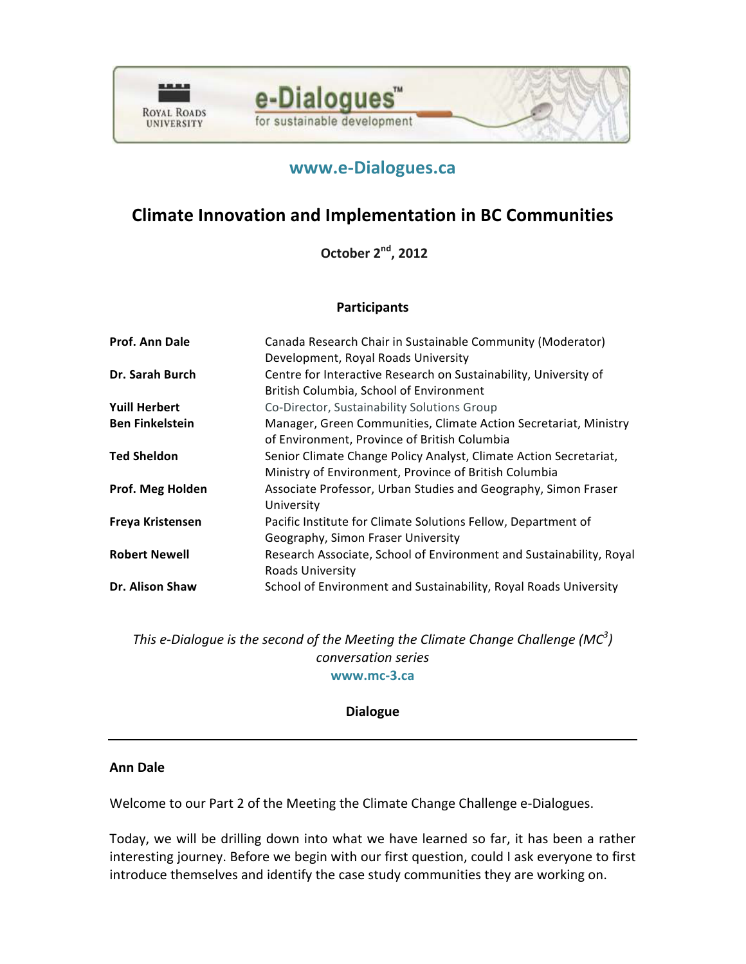



# **[www.e-Dialogues.ca](http://www.crcresearch.org/edialogues/eforum/login.php)**

# **Climate Innovation and Implementation in BC Communities**

**October 2<sup>nd</sup>, 2012** 

# **Participants**

| Prof. Ann Dale         | Canada Research Chair in Sustainable Community (Moderator)<br>Development, Royal Roads University                          |
|------------------------|----------------------------------------------------------------------------------------------------------------------------|
| Dr. Sarah Burch        | Centre for Interactive Research on Sustainability, University of<br>British Columbia, School of Environment                |
| <b>Yuill Herbert</b>   | Co-Director, Sustainability Solutions Group                                                                                |
| <b>Ben Finkelstein</b> | Manager, Green Communities, Climate Action Secretariat, Ministry<br>of Environment, Province of British Columbia           |
| <b>Ted Sheldon</b>     | Senior Climate Change Policy Analyst, Climate Action Secretariat,<br>Ministry of Environment, Province of British Columbia |
| Prof. Meg Holden       | Associate Professor, Urban Studies and Geography, Simon Fraser<br>University                                               |
| Freya Kristensen       | Pacific Institute for Climate Solutions Fellow, Department of<br>Geography, Simon Fraser University                        |
| <b>Robert Newell</b>   | Research Associate, School of Environment and Sustainability, Royal<br>Roads University                                    |
| Dr. Alison Shaw        | School of Environment and Sustainability, Royal Roads University                                                           |

*This* e-Dialogue is the second of the Meeting the Climate Change Challenge (MC<sup>3</sup>) *conversation series* **[www.mc-3.ca](http://www.mc-3.ca/)**

# **Dialogue**

# **Ann Dale**

Welcome to our Part 2 of the Meeting the Climate Change Challenge e-Dialogues.

Today, we will be drilling down into what we have learned so far, it has been a rather interesting journey. Before we begin with our first question, could I ask everyone to first introduce themselves and identify the case study communities they are working on.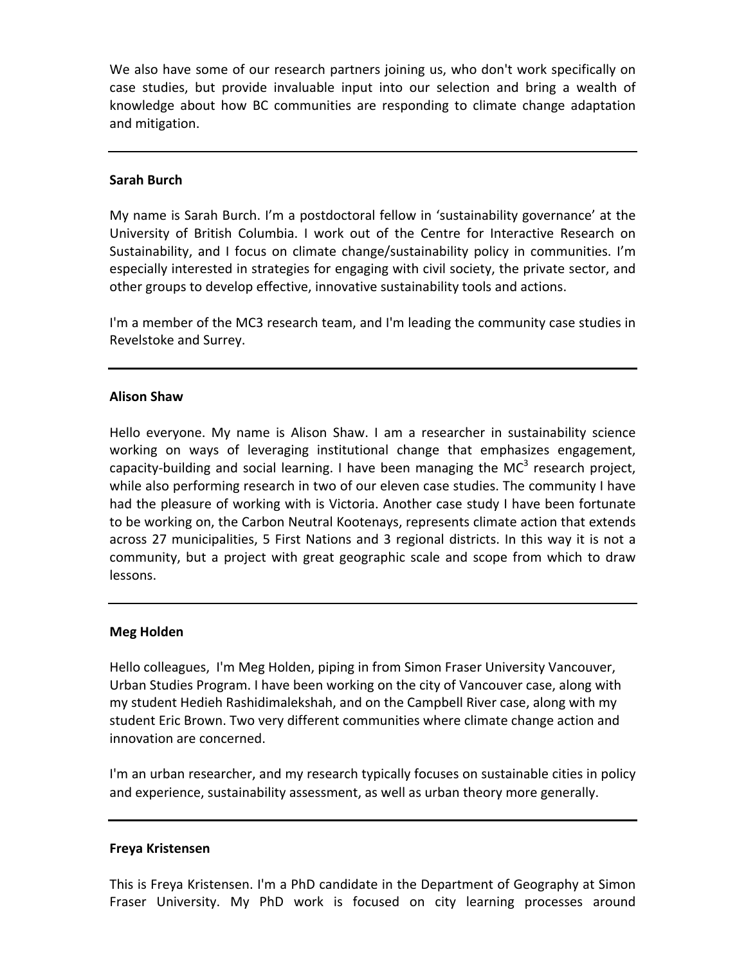We also have some of our research partners joining us, who don't work specifically on case studies, but provide invaluable input into our selection and bring a wealth of knowledge about how BC communities are responding to climate change adaptation and mitigation.

## **Sarah Burch**

My name is Sarah Burch. I'm a postdoctoral fellow in 'sustainability governance' at the University of British Columbia. I work out of the Centre for Interactive Research on Sustainability, and I focus on climate change/sustainability policy in communities. I'm especially interested in strategies for engaging with civil society, the private sector, and other groups to develop effective, innovative sustainability tools and actions.

I'm a member of the MC3 research team, and I'm leading the community case studies in Revelstoke and Surrey.

## **Alison Shaw**

Hello everyone. My name is Alison Shaw. I am a researcher in sustainability science working on ways of leveraging institutional change that emphasizes engagement, capacity-building and social learning. I have been managing the MC<sup>3</sup> research project, while also performing research in two of our eleven case studies. The community I have had the pleasure of working with is Victoria. Another case study I have been fortunate to be working on, the Carbon Neutral Kootenays, represents climate action that extends across 27 municipalities, 5 First Nations and 3 regional districts. In this way it is not a community, but a project with great geographic scale and scope from which to draw lessons.

# **Meg Holden**

Hello colleagues, I'm Meg Holden, piping in from Simon Fraser University Vancouver, Urban Studies Program. I have been working on the city of Vancouver case, along with my student Hedieh Rashidimalekshah, and on the Campbell River case, along with my student Eric Brown. Two very different communities where climate change action and innovation are concerned.

I'm an urban researcher, and my research typically focuses on sustainable cities in policy and experience, sustainability assessment, as well as urban theory more generally.

## **Freya Kristensen**

This is Freya Kristensen. I'm a PhD candidate in the Department of Geography at Simon Fraser University. My PhD work is focused on city learning processes around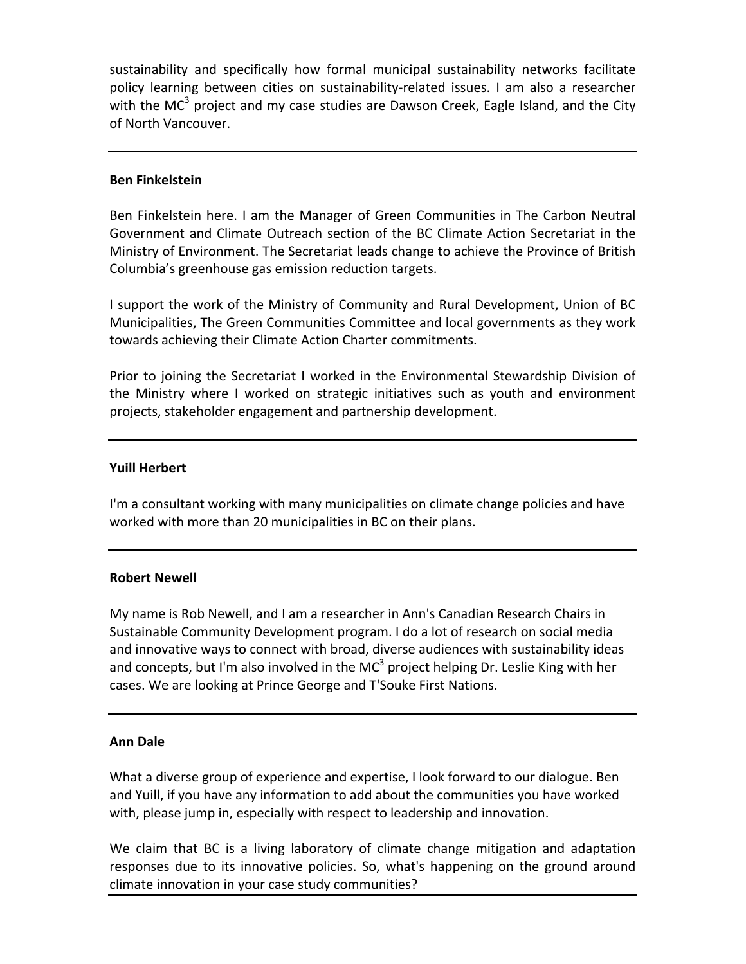sustainability and specifically how formal municipal sustainability networks facilitate policy learning between cities on sustainability-related issues. I am also a researcher with the MC<sup>3</sup> project and my case studies are Dawson Creek, Eagle Island, and the City of North Vancouver.

## **Ben Finkelstein**

Ben Finkelstein here. I am the Manager of Green Communities in The Carbon Neutral Government and Climate Outreach section of the BC Climate Action Secretariat in the Ministry of Environment. The Secretariat leads change to achieve the Province of British Columbia's greenhouse gas emission reduction targets.

I support the work of the Ministry of Community and Rural Development, Union of BC Municipalities, The Green Communities Committee and local governments as they work towards achieving their Climate Action Charter commitments.

Prior to joining the Secretariat I worked in the Environmental Stewardship Division of the Ministry where I worked on strategic initiatives such as youth and environment projects, stakeholder engagement and partnership development.

## **Yuill Herbert**

I'm a consultant working with many municipalities on climate change policies and have worked with more than 20 municipalities in BC on their plans.

## **Robert Newell**

My name is Rob Newell, and I am a researcher in Ann's Canadian Research Chairs in Sustainable Community Development program. I do a lot of research on social media and innovative ways to connect with broad, diverse audiences with sustainability ideas and concepts, but I'm also involved in the MC<sup>3</sup> project helping Dr. Leslie King with her cases. We are looking at Prince George and T'Souke First Nations.

## **Ann Dale**

What a diverse group of experience and expertise, I look forward to our dialogue. Ben and Yuill, if you have any information to add about the communities you have worked with, please jump in, especially with respect to leadership and innovation.

We claim that BC is a living laboratory of climate change mitigation and adaptation responses due to its innovative policies. So, what's happening on the ground around climate innovation in your case study communities?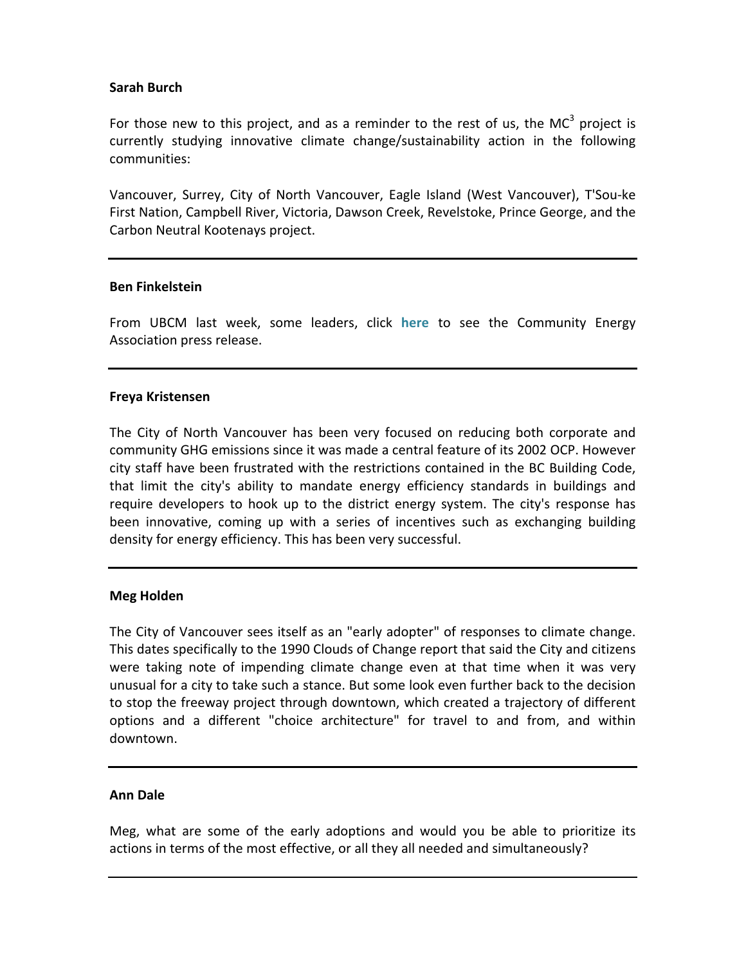# **Sarah Burch**

For those new to this project, and as a reminder to the rest of us, the MC<sup>3</sup> project is currently studying innovative climate change/sustainability action in the following communities:

Vancouver, Surrey, City of North Vancouver, Eagle Island (West Vancouver), T'Sou-ke First Nation, Campbell River, Victoria, Dawson Creek, Revelstoke, Prince George, and the Carbon Neutral Kootenays project.

## **Ben Finkelstein**

From UBCM last week, some leaders, click [here](http://www.crcresearch.org/sites/default/files/u641/2012_climateenergy_action_awards_news_release_september_26_2012_0.pdf) to see the Community Energy Association press release.

# **Freya Kristensen**

The City of North Vancouver has been very focused on reducing both corporate and community GHG emissions since it was made a central feature of its 2002 OCP. However city staff have been frustrated with the restrictions contained in the BC Building Code, that limit the city's ability to mandate energy efficiency standards in buildings and require developers to hook up to the district energy system. The city's response has been innovative, coming up with a series of incentives such as exchanging building density for energy efficiency. This has been very successful.

# **Meg Holden**

The City of Vancouver sees itself as an "early adopter" of responses to climate change. This dates specifically to the 1990 Clouds of Change report that said the City and citizens were taking note of impending climate change even at that time when it was very unusual for a city to take such a stance. But some look even further back to the decision to stop the freeway project through downtown, which created a trajectory of different options and a different "choice architecture" for travel to and from, and within downtown.

## **Ann Dale**

Meg, what are some of the early adoptions and would you be able to prioritize its actions in terms of the most effective, or all they all needed and simultaneously?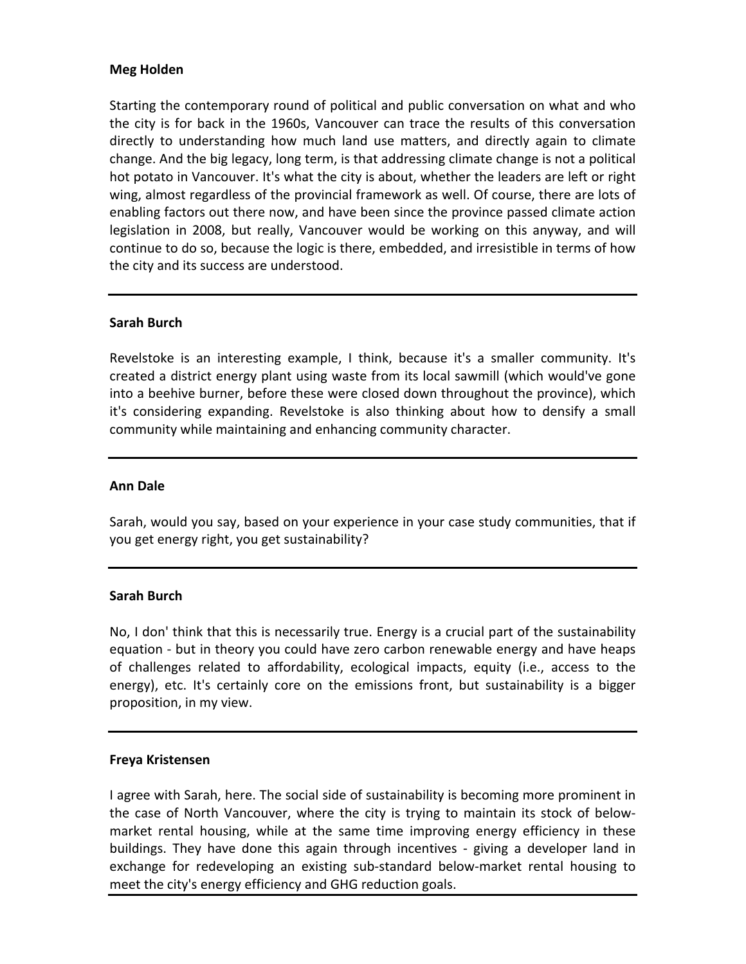# **Meg Holden**

Starting the contemporary round of political and public conversation on what and who the city is for back in the 1960s, Vancouver can trace the results of this conversation directly to understanding how much land use matters, and directly again to climate change. And the big legacy, long term, is that addressing climate change is not a political hot potato in Vancouver. It's what the city is about, whether the leaders are left or right wing, almost regardless of the provincial framework as well. Of course, there are lots of enabling factors out there now, and have been since the province passed climate action legislation in 2008, but really, Vancouver would be working on this anyway, and will continue to do so, because the logic is there, embedded, and irresistible in terms of how the city and its success are understood.

# **Sarah Burch**

Revelstoke is an interesting example, I think, because it's a smaller community. It's created a district energy plant using waste from its local sawmill (which would've gone into a beehive burner, before these were closed down throughout the province), which it's considering expanding. Revelstoke is also thinking about how to densify a small community while maintaining and enhancing community character.

## **Ann Dale**

Sarah, would you say, based on your experience in your case study communities, that if you get energy right, you get sustainability?

## **Sarah Burch**

No, I don' think that this is necessarily true. Energy is a crucial part of the sustainability equation - but in theory you could have zero carbon renewable energy and have heaps of challenges related to affordability, ecological impacts, equity (i.e., access to the energy), etc. It's certainly core on the emissions front, but sustainability is a bigger proposition, in my view.

# **Freya Kristensen**

I agree with Sarah, here. The social side of sustainability is becoming more prominent in the case of North Vancouver, where the city is trying to maintain its stock of belowmarket rental housing, while at the same time improving energy efficiency in these buildings. They have done this again through incentives - giving a developer land in exchange for redeveloping an existing sub-standard below-market rental housing to meet the city's energy efficiency and GHG reduction goals.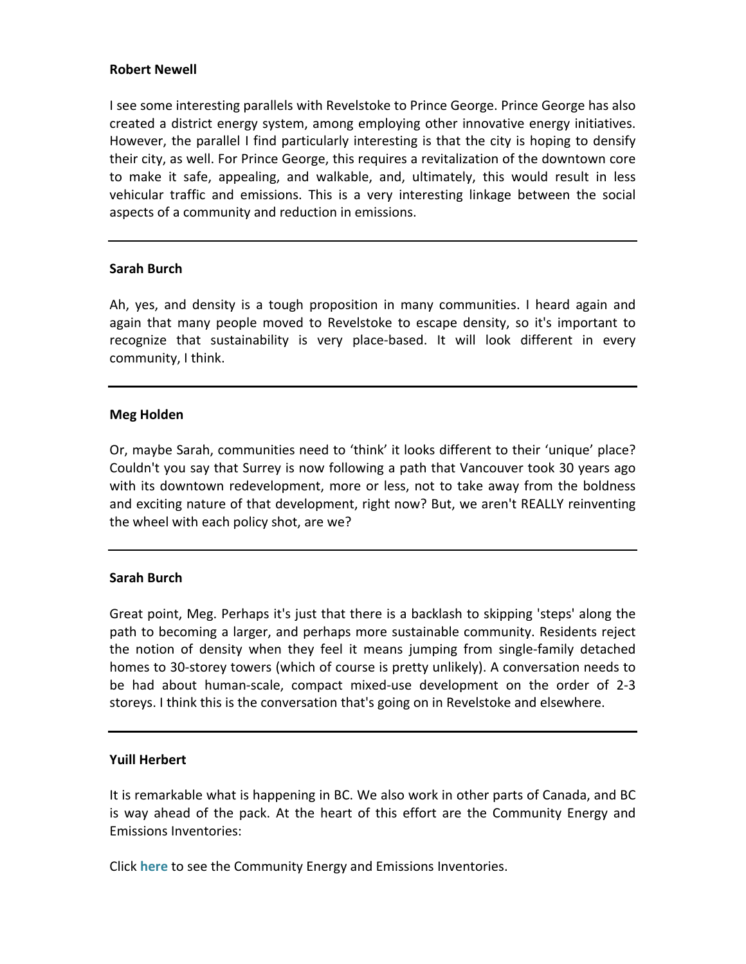## **Robert Newell**

I see some interesting parallels with Revelstoke to Prince George. Prince George has also created a district energy system, among employing other innovative energy initiatives. However, the parallel I find particularly interesting is that the city is hoping to densify their city, as well. For Prince George, this requires a revitalization of the downtown core to make it safe, appealing, and walkable, and, ultimately, this would result in less vehicular traffic and emissions. This is a very interesting linkage between the social aspects of a community and reduction in emissions.

## **Sarah Burch**

Ah, yes, and density is a tough proposition in many communities. I heard again and again that many people moved to Revelstoke to escape density, so it's important to recognize that sustainability is very place-based. It will look different in every community, I think.

## **Meg Holden**

Or, maybe Sarah, communities need to 'think' it looks different to their 'unique' place? Couldn't you say that Surrey is now following a path that Vancouver took 30 years ago with its downtown redevelopment, more or less, not to take away from the boldness and exciting nature of that development, right now? But, we aren't REALLY reinventing the wheel with each policy shot, are we?

## **Sarah Burch**

Great point, Meg. Perhaps it's just that there is a backlash to skipping 'steps' along the path to becoming a larger, and perhaps more sustainable community. Residents reject the notion of density when they feel it means jumping from single-family detached homes to 30-storey towers (which of course is pretty unlikely). A conversation needs to be had about human-scale, compact mixed-use development on the order of 2-3 storeys. I think this is the conversation that's going on in Revelstoke and elsewhere.

# **Yuill Herbert**

It is remarkable what is happening in BC. We also work in other parts of Canada, and BC is way ahead of the pack. At the heart of this effort are the Community Energy and **Emissions Inventories:** 

Click **[here](http://www.env.gov.bc.ca/cas/mitigation/ceei/index.html)** to see the Community Energy and Emissions Inventories.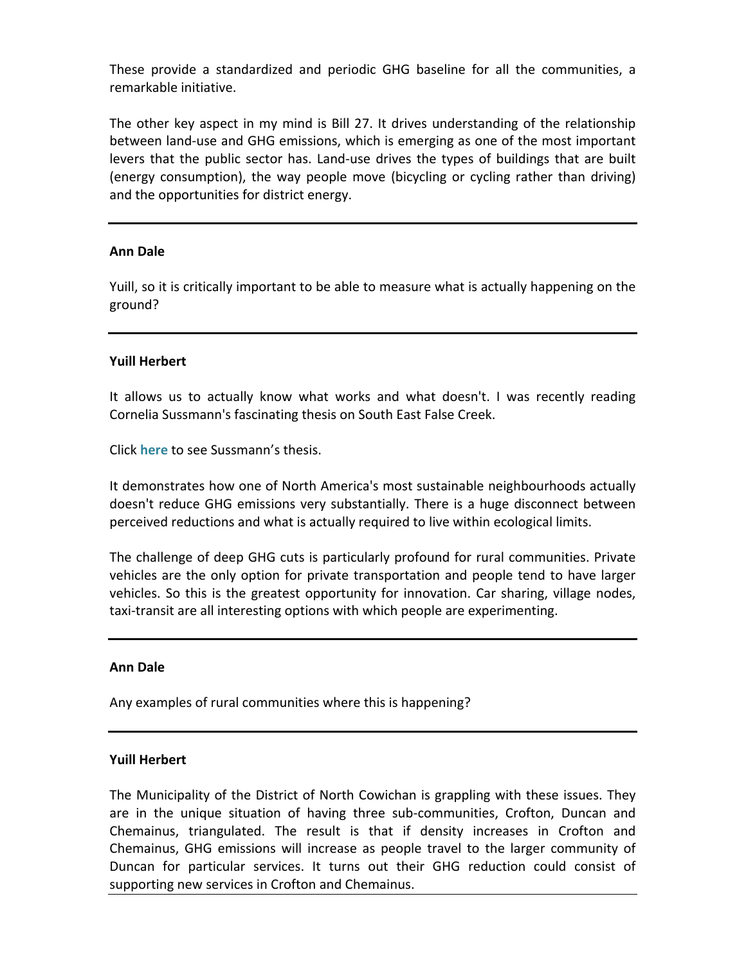These provide a standardized and periodic GHG baseline for all the communities, a remarkable initiative.

The other key aspect in my mind is Bill 27. It drives understanding of the relationship between land-use and GHG emissions, which is emerging as one of the most important levers that the public sector has. Land-use drives the types of buildings that are built (energy consumption), the way people move (bicycling or cycling rather than driving) and the opportunities for district energy.

# **Ann Dale**

Yuill, so it is critically important to be able to measure what is actually happening on the ground?

# **Yuill Herbert**

It allows us to actually know what works and what doesn't. I was recently reading Cornelia Sussmann's fascinating thesis on South East False Creek.

Click **[here](https://circle.ubc.ca/bitstream/handle/2429/43164/ubc_2012_fall_sussmann_cornelia.pdf?sequence=1)** to see Sussmann's thesis.

It demonstrates how one of North America's most sustainable neighbourhoods actually doesn't reduce GHG emissions very substantially. There is a huge disconnect between perceived reductions and what is actually required to live within ecological limits.

The challenge of deep GHG cuts is particularly profound for rural communities. Private vehicles are the only option for private transportation and people tend to have larger vehicles. So this is the greatest opportunity for innovation. Car sharing, village nodes, taxi-transit are all interesting options with which people are experimenting.

# **Ann Dale**

Any examples of rural communities where this is happening?

# **Yuill Herbert**

The Municipality of the District of North Cowichan is grappling with these issues. They are in the unique situation of having three sub-communities, Crofton, Duncan and Chemainus, triangulated. The result is that if density increases in Crofton and Chemainus, GHG emissions will increase as people travel to the larger community of Duncan for particular services. It turns out their GHG reduction could consist of supporting new services in Crofton and Chemainus.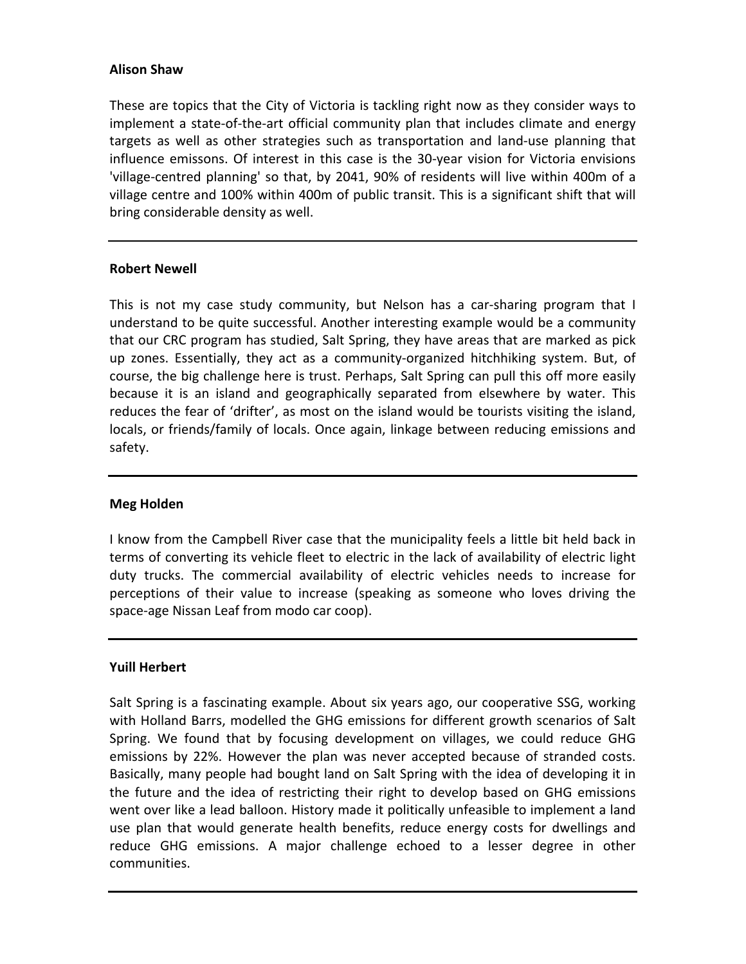# **Alison Shaw**

These are topics that the City of Victoria is tackling right now as they consider ways to implement a state-of-the-art official community plan that includes climate and energy targets as well as other strategies such as transportation and land-use planning that influence emissons. Of interest in this case is the 30-year vision for Victoria envisions 'village-centred planning' so that, by 2041, 90% of residents will live within 400m of a village centre and 100% within 400m of public transit. This is a significant shift that will bring considerable density as well.

## **Robert Newell**

This is not my case study community, but Nelson has a car-sharing program that I understand to be quite successful. Another interesting example would be a community that our CRC program has studied, Salt Spring, they have areas that are marked as pick up zones. Essentially, they act as a community-organized hitchhiking system. But, of course, the big challenge here is trust. Perhaps, Salt Spring can pull this off more easily because it is an island and geographically separated from elsewhere by water. This reduces the fear of 'drifter', as most on the island would be tourists visiting the island, locals, or friends/family of locals. Once again, linkage between reducing emissions and safety.

## **Meg Holden**

I know from the Campbell River case that the municipality feels a little bit held back in terms of converting its vehicle fleet to electric in the lack of availability of electric light duty trucks. The commercial availability of electric vehicles needs to increase for perceptions of their value to increase (speaking as someone who loves driving the space-age Nissan Leaf from modo car coop).

# **Yuill Herbert**

Salt Spring is a fascinating example. About six years ago, our cooperative SSG, working with Holland Barrs, modelled the GHG emissions for different growth scenarios of Salt Spring. We found that by focusing development on villages, we could reduce GHG emissions by 22%. However the plan was never accepted because of stranded costs. Basically, many people had bought land on Salt Spring with the idea of developing it in the future and the idea of restricting their right to develop based on GHG emissions went over like a lead balloon. History made it politically unfeasible to implement a land use plan that would generate health benefits, reduce energy costs for dwellings and reduce GHG emissions. A major challenge echoed to a lesser degree in other communities.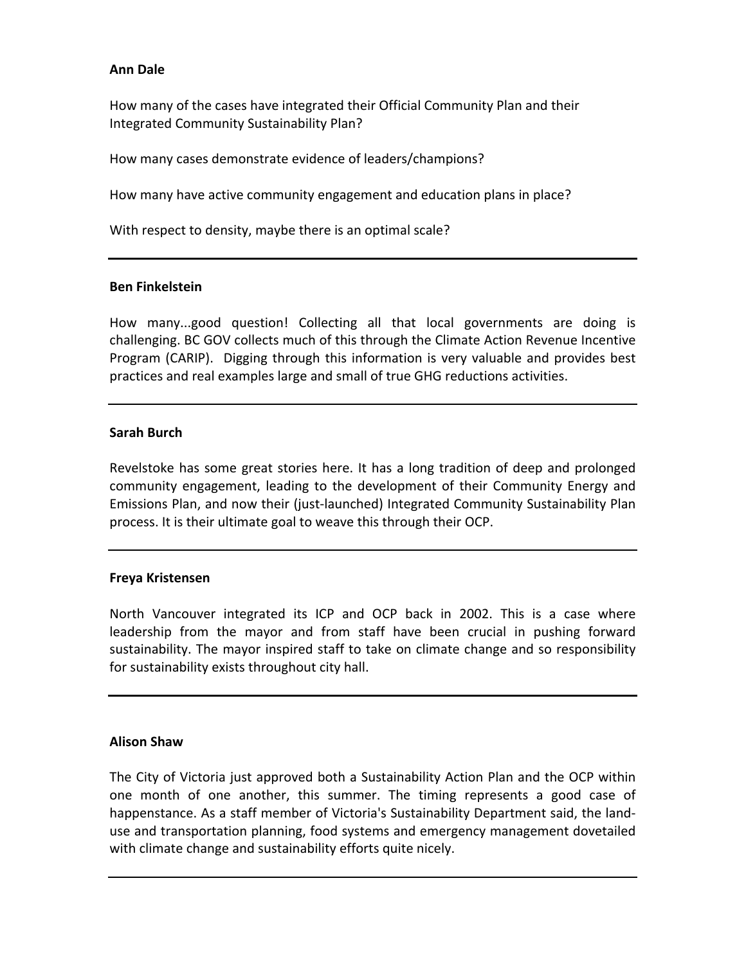# **Ann Dale**

How many of the cases have integrated their Official Community Plan and their Integrated Community Sustainability Plan?

How many cases demonstrate evidence of leaders/champions?

How many have active community engagement and education plans in place?

With respect to density, maybe there is an optimal scale?

## **Ben Finkelstein**

How many...good question! Collecting all that local governments are doing is challenging. BC GOV collects much of this through the Climate Action Revenue Incentive Program (CARIP). Digging through this information is very valuable and provides best practices and real examples large and small of true GHG reductions activities.

# **Sarah Burch**

Revelstoke has some great stories here. It has a long tradition of deep and prolonged community engagement, leading to the development of their Community Energy and Emissions Plan, and now their (just-launched) Integrated Community Sustainability Plan process. It is their ultimate goal to weave this through their OCP.

# **Freya Kristensen**

North Vancouver integrated its ICP and OCP back in 2002. This is a case where leadership from the mayor and from staff have been crucial in pushing forward sustainability. The mayor inspired staff to take on climate change and so responsibility for sustainability exists throughout city hall.

## **Alison Shaw**

The City of Victoria just approved both a Sustainability Action Plan and the OCP within one month of one another, this summer. The timing represents a good case of happenstance. As a staff member of Victoria's Sustainability Department said, the landuse and transportation planning, food systems and emergency management dovetailed with climate change and sustainability efforts quite nicely.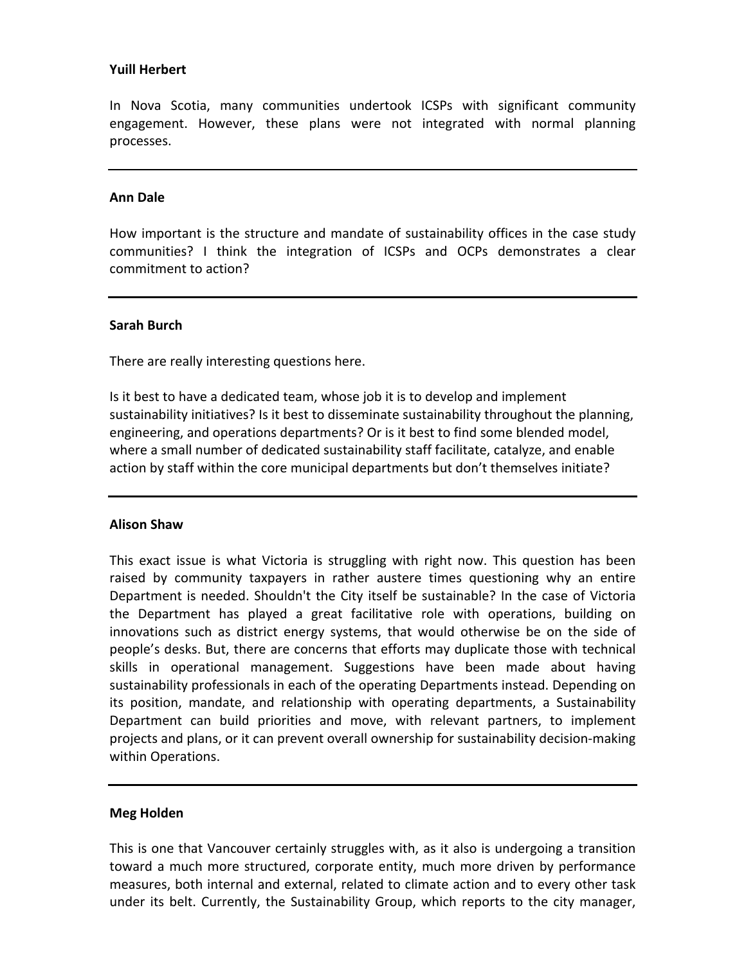## **Yuill Herbert**

In Nova Scotia, many communities undertook ICSPs with significant community engagement. However, these plans were not integrated with normal planning processes.

## **Ann Dale**

How important is the structure and mandate of sustainability offices in the case study communities? I think the integration of ICSPs and OCPs demonstrates a clear commitment to action?

## **Sarah Burch**

There are really interesting questions here.

Is it best to have a dedicated team, whose job it is to develop and implement sustainability initiatives? Is it best to disseminate sustainability throughout the planning, engineering, and operations departments? Or is it best to find some blended model, where a small number of dedicated sustainability staff facilitate, catalyze, and enable action by staff within the core municipal departments but don't themselves initiate?

## **Alison Shaw**

This exact issue is what Victoria is struggling with right now. This question has been raised by community taxpayers in rather austere times questioning why an entire Department is needed. Shouldn't the City itself be sustainable? In the case of Victoria the Department has played a great facilitative role with operations, building on innovations such as district energy systems, that would otherwise be on the side of people's desks. But, there are concerns that efforts may duplicate those with technical skills in operational management. Suggestions have been made about having sustainability professionals in each of the operating Departments instead. Depending on its position, mandate, and relationship with operating departments, a Sustainability Department can build priorities and move, with relevant partners, to implement projects and plans, or it can prevent overall ownership for sustainability decision-making within Operations.

## **Meg Holden**

This is one that Vancouver certainly struggles with, as it also is undergoing a transition toward a much more structured, corporate entity, much more driven by performance measures, both internal and external, related to climate action and to every other task under its belt. Currently, the Sustainability Group, which reports to the city manager,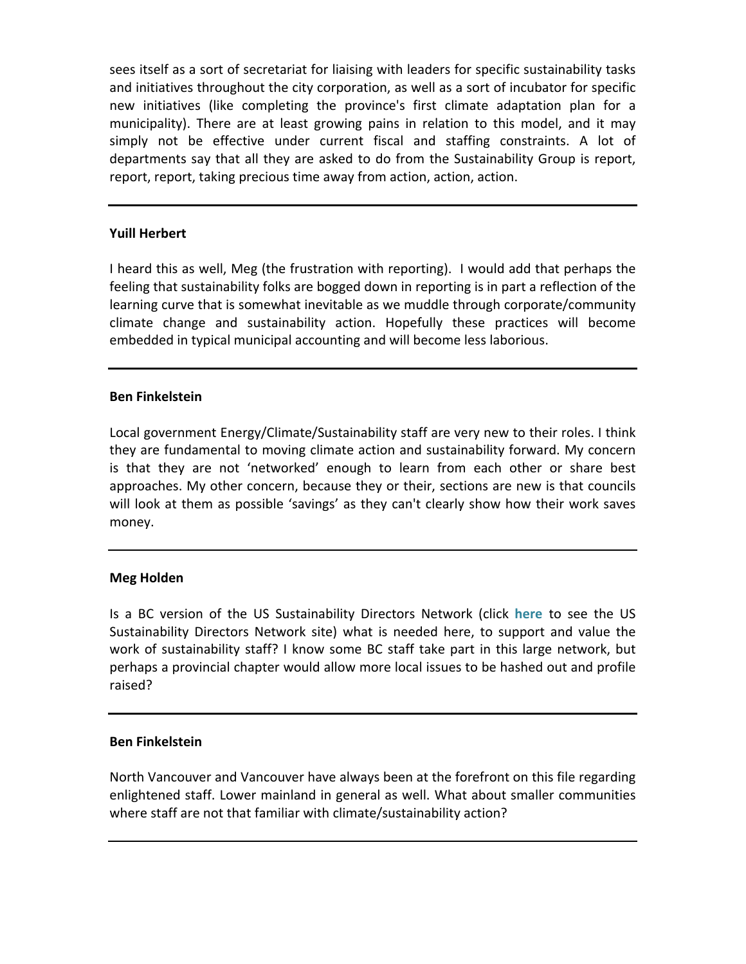sees itself as a sort of secretariat for liaising with leaders for specific sustainability tasks and initiatives throughout the city corporation, as well as a sort of incubator for specific new initiatives (like completing the province's first climate adaptation plan for a municipality). There are at least growing pains in relation to this model, and it may simply not be effective under current fiscal and staffing constraints. A lot of departments say that all they are asked to do from the Sustainability Group is report, report, report, taking precious time away from action, action, action.

# **Yuill Herbert**

I heard this as well, Meg (the frustration with reporting). I would add that perhaps the feeling that sustainability folks are bogged down in reporting is in part a reflection of the learning curve that is somewhat inevitable as we muddle through corporate/community climate change and sustainability action. Hopefully these practices will become embedded in typical municipal accounting and will become less laborious.

# **Ben Finkelstein**

Local government Energy/Climate/Sustainability staff are very new to their roles. I think they are fundamental to moving climate action and sustainability forward. My concern is that they are not 'networked' enough to learn from each other or share best approaches. My other concern, because they or their, sections are new is that councils will look at them as possible 'savings' as they can't clearly show how their work saves money.

# **Meg Holden**

Is a BC version of the US Sustainability Directors Network (click [here](http://usdn.org/home.html?returnUrl=%2findex.html) to see the US Sustainability Directors Network site) what is needed here, to support and value the work of sustainability staff? I know some BC staff take part in this large network, but perhaps a provincial chapter would allow more local issues to be hashed out and profile raised?

## **Ben Finkelstein**

North Vancouver and Vancouver have always been at the forefront on this file regarding enlightened staff. Lower mainland in general as well. What about smaller communities where staff are not that familiar with climate/sustainability action?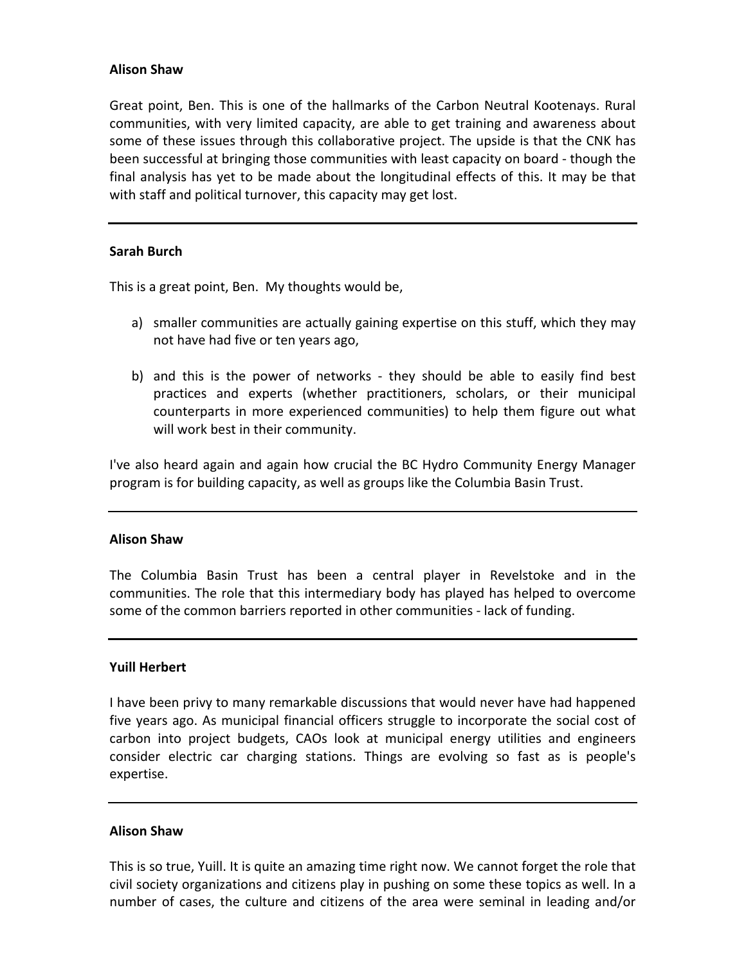## **Alison Shaw**

Great point, Ben. This is one of the hallmarks of the Carbon Neutral Kootenays. Rural communities, with very limited capacity, are able to get training and awareness about some of these issues through this collaborative project. The upside is that the CNK has been successful at bringing those communities with least capacity on board - though the final analysis has yet to be made about the longitudinal effects of this. It may be that with staff and political turnover, this capacity may get lost.

## **Sarah Burch**

This is a great point, Ben. My thoughts would be,

- a) smaller communities are actually gaining expertise on this stuff, which they may not have had five or ten years ago,
- b) and this is the power of networks they should be able to easily find best practices and experts (whether practitioners, scholars, or their municipal counterparts in more experienced communities) to help them figure out what will work best in their community.

I've also heard again and again how crucial the BC Hydro Community Energy Manager program is for building capacity, as well as groups like the Columbia Basin Trust.

## **Alison Shaw**

The Columbia Basin Trust has been a central player in Revelstoke and in the communities. The role that this intermediary body has played has helped to overcome some of the common barriers reported in other communities - lack of funding.

## **Yuill Herbert**

I have been privy to many remarkable discussions that would never have had happened five years ago. As municipal financial officers struggle to incorporate the social cost of carbon into project budgets, CAOs look at municipal energy utilities and engineers consider electric car charging stations. Things are evolving so fast as is people's expertise.

## **Alison Shaw**

This is so true, Yuill. It is quite an amazing time right now. We cannot forget the role that civil society organizations and citizens play in pushing on some these topics as well. In a number of cases, the culture and citizens of the area were seminal in leading and/or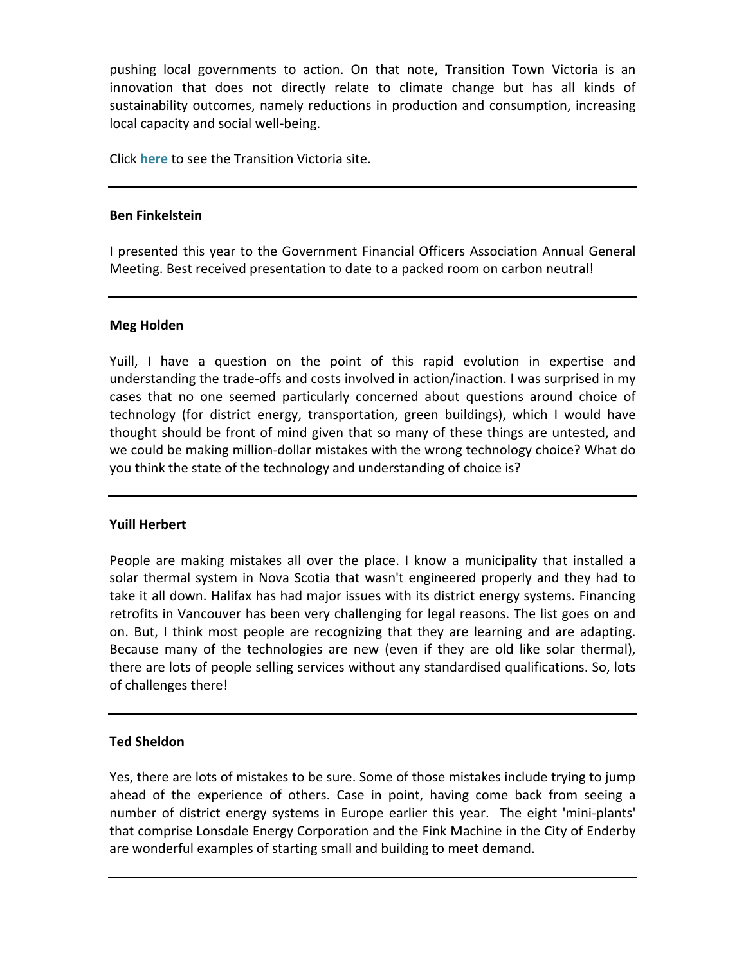pushing local governments to action. On that note, Transition Town Victoria is an innovation that does not directly relate to climate change but has all kinds of sustainability outcomes, namely reductions in production and consumption, increasing local capacity and social well-being.

Click **[here](http://transitionvictoria.ning.com/)** to see the Transition Victoria site.

## **Ben Finkelstein**

I presented this year to the Government Financial Officers Association Annual General Meeting. Best received presentation to date to a packed room on carbon neutral!

# **Meg Holden**

Yuill, I have a question on the point of this rapid evolution in expertise and understanding the trade-offs and costs involved in action/inaction. I was surprised in my cases that no one seemed particularly concerned about questions around choice of technology (for district energy, transportation, green buildings), which I would have thought should be front of mind given that so many of these things are untested, and we could be making million-dollar mistakes with the wrong technology choice? What do you think the state of the technology and understanding of choice is?

# **Yuill Herbert**

People are making mistakes all over the place. I know a municipality that installed a solar thermal system in Nova Scotia that wasn't engineered properly and they had to take it all down. Halifax has had major issues with its district energy systems. Financing retrofits in Vancouver has been very challenging for legal reasons. The list goes on and on. But, I think most people are recognizing that they are learning and are adapting. Because many of the technologies are new (even if they are old like solar thermal), there are lots of people selling services without any standardised qualifications. So, lots of challenges there!

# **Ted Sheldon**

Yes, there are lots of mistakes to be sure. Some of those mistakes include trying to jump ahead of the experience of others. Case in point, having come back from seeing a number of district energy systems in Europe earlier this year. The eight 'mini-plants' that comprise Lonsdale Energy Corporation and the Fink Machine in the City of Enderby are wonderful examples of starting small and building to meet demand.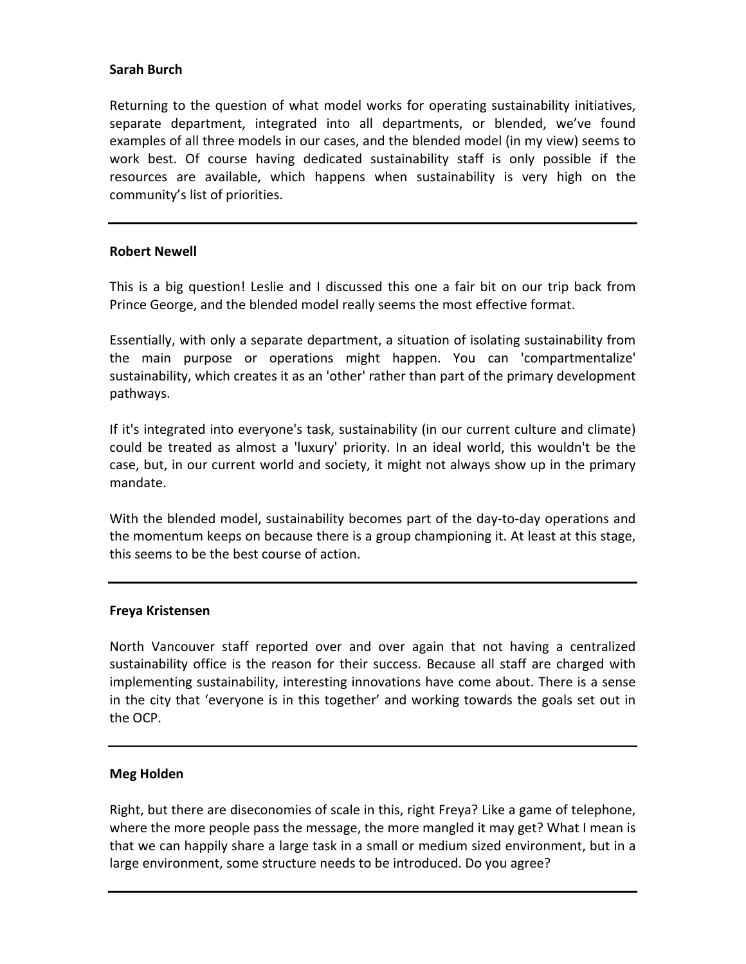# **Sarah Burch**

Returning to the question of what model works for operating sustainability initiatives, separate department, integrated into all departments, or blended, we've found examples of all three models in our cases, and the blended model (in my view) seems to work best. Of course having dedicated sustainability staff is only possible if the resources are available, which happens when sustainability is very high on the community's list of priorities.

## **Robert Newell**

This is a big question! Leslie and I discussed this one a fair bit on our trip back from Prince George, and the blended model really seems the most effective format.

Essentially, with only a separate department, a situation of isolating sustainability from the main purpose or operations might happen. You can 'compartmentalize' sustainability, which creates it as an 'other' rather than part of the primary development pathways. 

If it's integrated into everyone's task, sustainability (in our current culture and climate) could be treated as almost a 'luxury' priority. In an ideal world, this wouldn't be the case, but, in our current world and society, it might not always show up in the primary mandate. 

With the blended model, sustainability becomes part of the day-to-day operations and the momentum keeps on because there is a group championing it. At least at this stage, this seems to be the best course of action.

## **Freya Kristensen**

North Vancouver staff reported over and over again that not having a centralized sustainability office is the reason for their success. Because all staff are charged with implementing sustainability, interesting innovations have come about. There is a sense in the city that 'everyone is in this together' and working towards the goals set out in the OCP.

# **Meg Holden**

Right, but there are diseconomies of scale in this, right Freya? Like a game of telephone, where the more people pass the message, the more mangled it may get? What I mean is that we can happily share a large task in a small or medium sized environment, but in a large environment, some structure needs to be introduced. Do you agree?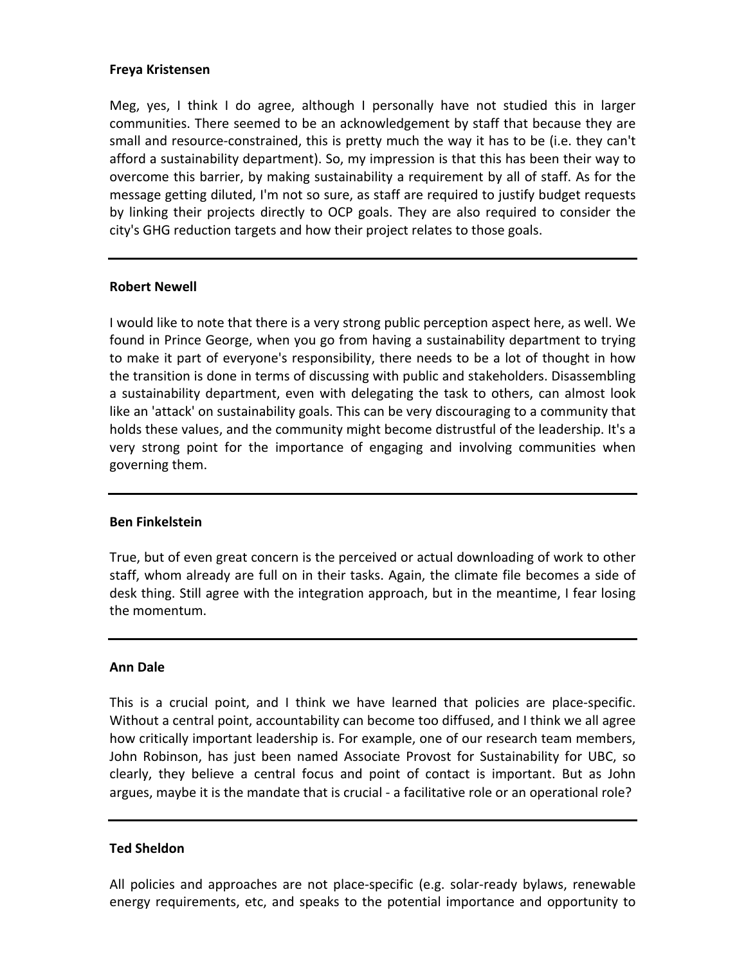## **Freya Kristensen**

Meg, yes, I think I do agree, although I personally have not studied this in larger communities. There seemed to be an acknowledgement by staff that because they are small and resource-constrained, this is pretty much the way it has to be (i.e. they can't afford a sustainability department). So, my impression is that this has been their way to overcome this barrier, by making sustainability a requirement by all of staff. As for the message getting diluted, I'm not so sure, as staff are required to justify budget requests by linking their projects directly to OCP goals. They are also required to consider the city's GHG reduction targets and how their project relates to those goals.

## **Robert Newell**

I would like to note that there is a very strong public perception aspect here, as well. We found in Prince George, when you go from having a sustainability department to trying to make it part of everyone's responsibility, there needs to be a lot of thought in how the transition is done in terms of discussing with public and stakeholders. Disassembling a sustainability department, even with delegating the task to others, can almost look like an 'attack' on sustainability goals. This can be very discouraging to a community that holds these values, and the community might become distrustful of the leadership. It's a very strong point for the importance of engaging and involving communities when governing them.

## **Ben Finkelstein**

True, but of even great concern is the perceived or actual downloading of work to other staff, whom already are full on in their tasks. Again, the climate file becomes a side of desk thing. Still agree with the integration approach, but in the meantime, I fear losing the momentum.

#### **Ann Dale**

This is a crucial point, and I think we have learned that policies are place-specific. Without a central point, accountability can become too diffused, and I think we all agree how critically important leadership is. For example, one of our research team members, John Robinson, has just been named Associate Provost for Sustainability for UBC, so clearly, they believe a central focus and point of contact is important. But as John argues, maybe it is the mandate that is crucial - a facilitative role or an operational role?

## **Ted Sheldon**

All policies and approaches are not place-specific (e.g. solar-ready bylaws, renewable energy requirements, etc, and speaks to the potential importance and opportunity to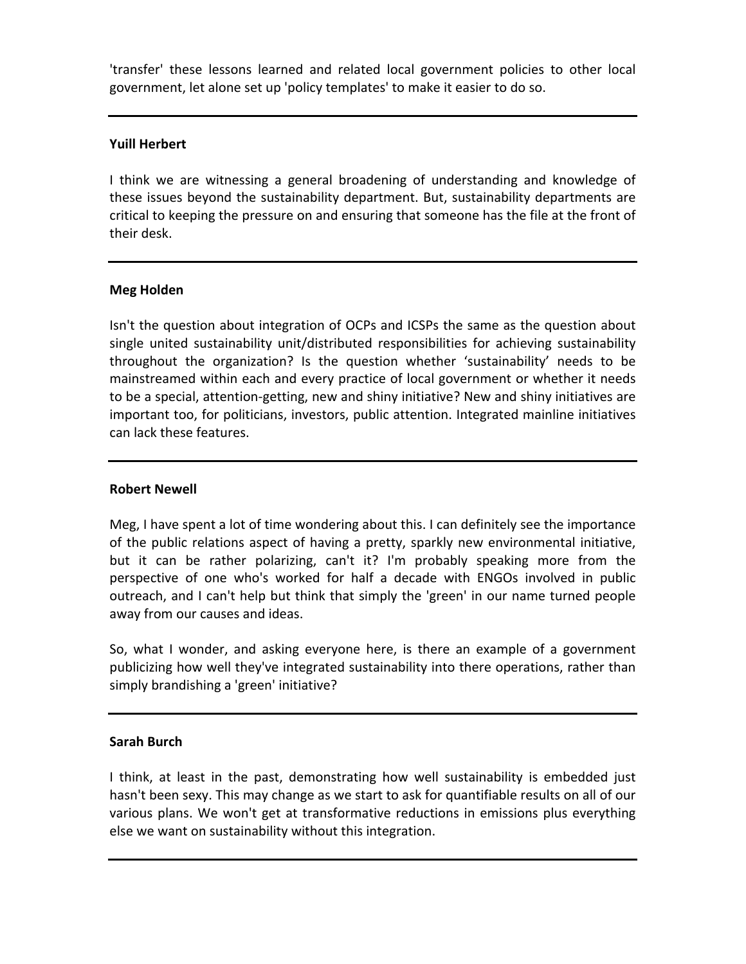'transfer' these lessons learned and related local government policies to other local government, let alone set up 'policy templates' to make it easier to do so.

# **Yuill Herbert**

I think we are witnessing a general broadening of understanding and knowledge of these issues beyond the sustainability department. But, sustainability departments are critical to keeping the pressure on and ensuring that someone has the file at the front of their desk.

# **Meg Holden**

Isn't the question about integration of OCPs and ICSPs the same as the question about single united sustainability unit/distributed responsibilities for achieving sustainability throughout the organization? Is the question whether 'sustainability' needs to be mainstreamed within each and every practice of local government or whether it needs to be a special, attention-getting, new and shiny initiative? New and shiny initiatives are important too, for politicians, investors, public attention. Integrated mainline initiatives can lack these features.

# **Robert Newell**

Meg, I have spent a lot of time wondering about this. I can definitely see the importance of the public relations aspect of having a pretty, sparkly new environmental initiative, but it can be rather polarizing, can't it? I'm probably speaking more from the perspective of one who's worked for half a decade with ENGOs involved in public outreach, and I can't help but think that simply the 'green' in our name turned people away from our causes and ideas.

So, what I wonder, and asking everyone here, is there an example of a government publicizing how well they've integrated sustainability into there operations, rather than simply brandishing a 'green' initiative?

# **Sarah Burch**

I think, at least in the past, demonstrating how well sustainability is embedded just hasn't been sexy. This may change as we start to ask for quantifiable results on all of our various plans. We won't get at transformative reductions in emissions plus everything else we want on sustainability without this integration.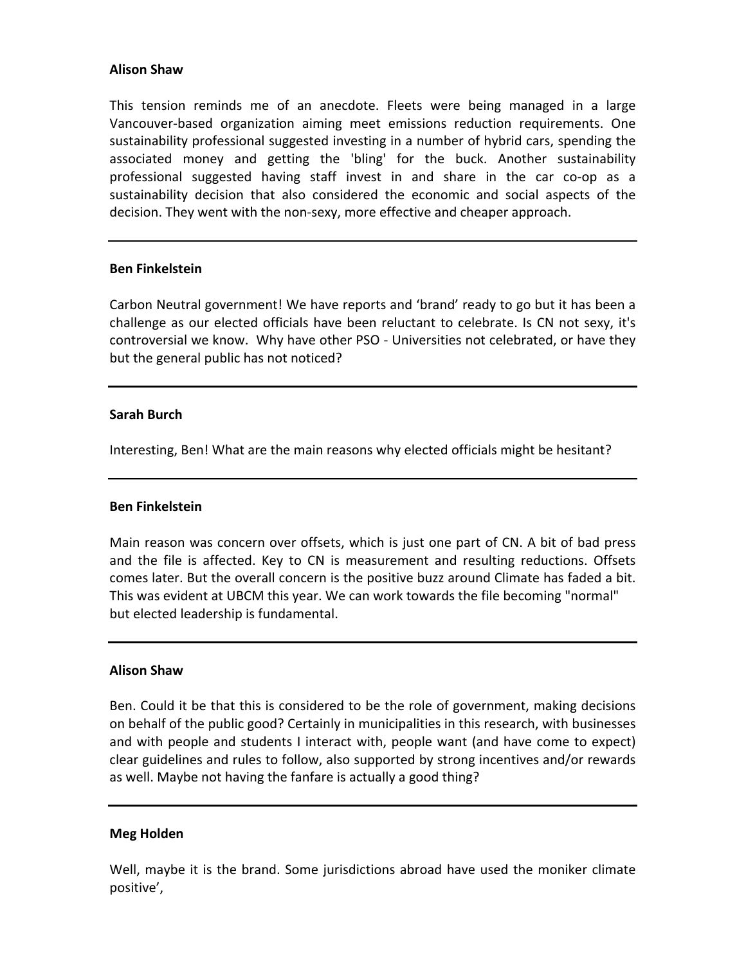## **Alison Shaw**

This tension reminds me of an anecdote. Fleets were being managed in a large Vancouver-based organization aiming meet emissions reduction requirements. One sustainability professional suggested investing in a number of hybrid cars, spending the associated money and getting the 'bling' for the buck. Another sustainability professional suggested having staff invest in and share in the car co-op as a sustainability decision that also considered the economic and social aspects of the decision. They went with the non-sexy, more effective and cheaper approach.

## **Ben Finkelstein**

Carbon Neutral government! We have reports and 'brand' ready to go but it has been a challenge as our elected officials have been reluctant to celebrate. Is CN not sexy, it's controversial we know. Why have other PSO - Universities not celebrated, or have they but the general public has not noticed?

## **Sarah Burch**

Interesting, Ben! What are the main reasons why elected officials might be hesitant?

## **Ben Finkelstein**

Main reason was concern over offsets, which is just one part of CN. A bit of bad press and the file is affected. Key to CN is measurement and resulting reductions. Offsets comes later. But the overall concern is the positive buzz around Climate has faded a bit. This was evident at UBCM this year. We can work towards the file becoming "normal" but elected leadership is fundamental.

## **Alison Shaw**

Ben. Could it be that this is considered to be the role of government, making decisions on behalf of the public good? Certainly in municipalities in this research, with businesses and with people and students I interact with, people want (and have come to expect) clear guidelines and rules to follow, also supported by strong incentives and/or rewards as well. Maybe not having the fanfare is actually a good thing?

## **Meg Holden**

Well, maybe it is the brand. Some jurisdictions abroad have used the moniker climate positive',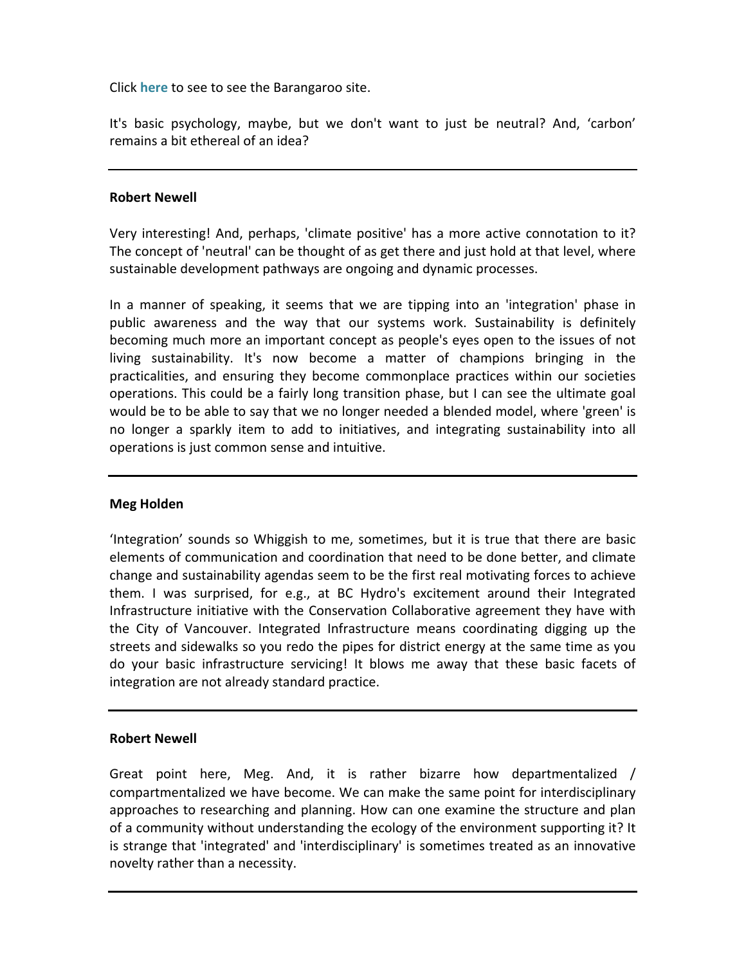Click **[here](http://www.barangaroo.com/discover-barangaroo/sustainability.aspx)** to see to see the Barangaroo site.

It's basic psychology, maybe, but we don't want to just be neutral? And, 'carbon' remains a bit ethereal of an idea?

## **Robert Newell**

Very interesting! And, perhaps, 'climate positive' has a more active connotation to it? The concept of 'neutral' can be thought of as get there and just hold at that level, where sustainable development pathways are ongoing and dynamic processes.

In a manner of speaking, it seems that we are tipping into an 'integration' phase in public awareness and the way that our systems work. Sustainability is definitely becoming much more an important concept as people's eyes open to the issues of not living sustainability. It's now become a matter of champions bringing in the practicalities, and ensuring they become commonplace practices within our societies operations. This could be a fairly long transition phase, but I can see the ultimate goal would be to be able to say that we no longer needed a blended model, where 'green' is no longer a sparkly item to add to initiatives, and integrating sustainability into all operations is just common sense and intuitive.

## **Meg Holden**

'Integration' sounds so Whiggish to me, sometimes, but it is true that there are basic elements of communication and coordination that need to be done better, and climate change and sustainability agendas seem to be the first real motivating forces to achieve them. I was surprised, for e.g., at BC Hydro's excitement around their Integrated Infrastructure initiative with the Conservation Collaborative agreement they have with the City of Vancouver. Integrated Infrastructure means coordinating digging up the streets and sidewalks so you redo the pipes for district energy at the same time as you do vour basic infrastructure servicing! It blows me away that these basic facets of integration are not already standard practice.

## **Robert Newell**

Great point here, Meg. And, it is rather bizarre how departmentalized / compartmentalized we have become. We can make the same point for interdisciplinary approaches to researching and planning. How can one examine the structure and plan of a community without understanding the ecology of the environment supporting it? It is strange that 'integrated' and 'interdisciplinary' is sometimes treated as an innovative novelty rather than a necessity.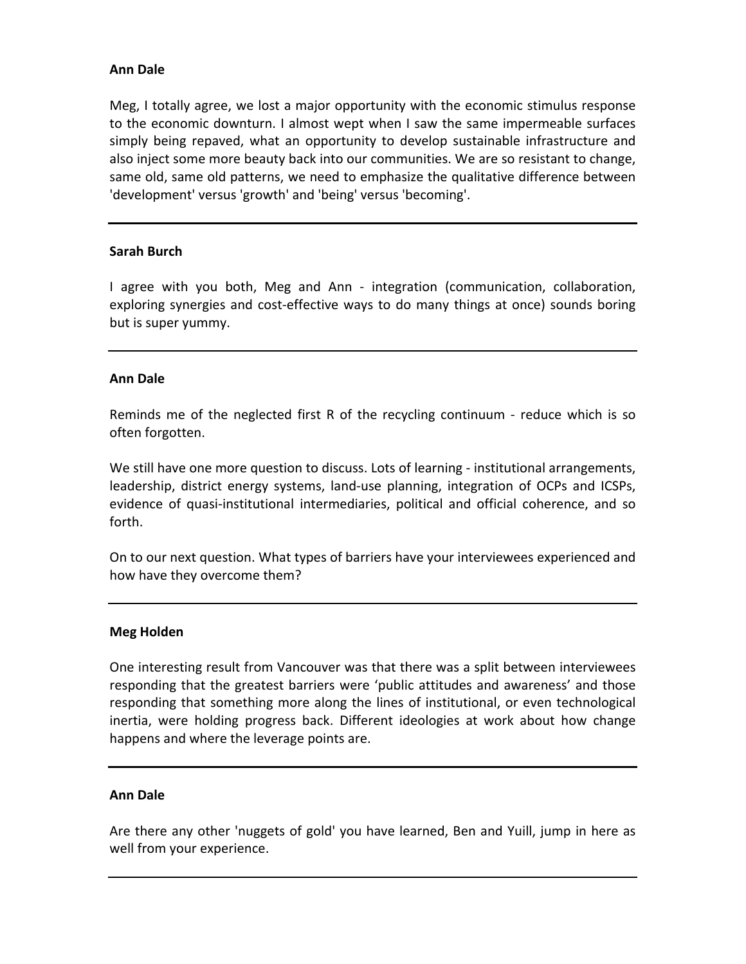# **Ann Dale**

Meg, I totally agree, we lost a major opportunity with the economic stimulus response to the economic downturn. I almost wept when I saw the same impermeable surfaces simply being repaved, what an opportunity to develop sustainable infrastructure and also inject some more beauty back into our communities. We are so resistant to change, same old, same old patterns, we need to emphasize the qualitative difference between 'development' versus 'growth' and 'being' versus 'becoming'.

# **Sarah Burch**

I agree with you both, Meg and Ann - integration (communication, collaboration, exploring synergies and cost-effective ways to do many things at once) sounds boring but is super yummy.

## **Ann Dale**

Reminds me of the neglected first R of the recycling continuum - reduce which is so often forgotten.

We still have one more question to discuss. Lots of learning - institutional arrangements, leadership, district energy systems, land-use planning, integration of OCPs and ICSPs, evidence of quasi-institutional intermediaries, political and official coherence, and so forth. 

On to our next question. What types of barriers have your interviewees experienced and how have they overcome them?

## **Meg Holden**

One interesting result from Vancouver was that there was a split between interviewees responding that the greatest barriers were 'public attitudes and awareness' and those responding that something more along the lines of institutional, or even technological inertia, were holding progress back. Different ideologies at work about how change happens and where the leverage points are.

## **Ann Dale**

Are there any other 'nuggets of gold' you have learned, Ben and Yuill, jump in here as well from your experience.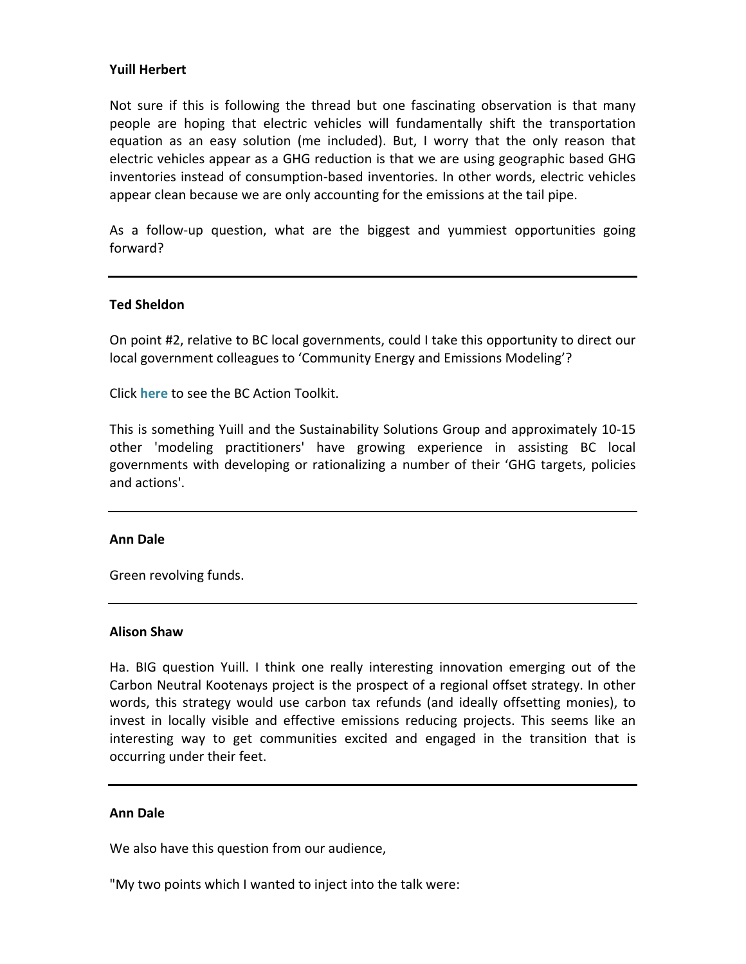# **Yuill Herbert**

Not sure if this is following the thread but one fascinating observation is that many people are hoping that electric vehicles will fundamentally shift the transportation equation as an easy solution (me included). But, I worry that the only reason that electric vehicles appear as a GHG reduction is that we are using geographic based GHG inventories instead of consumption-based inventories. In other words, electric vehicles appear clean because we are only accounting for the emissions at the tail pipe.

As a follow-up question, what are the biggest and yummiest opportunities going forward?

## **Ted Sheldon**

On point #2, relative to BC local governments, could I take this opportunity to direct our local government colleagues to 'Community Energy and Emissions Modeling'?

Click **[here](http://www.toolkit.bc.ca/ceem)** to see the BC Action Toolkit. 

This is something Yuill and the Sustainability Solutions Group and approximately 10-15 other 'modeling practitioners' have growing experience in assisting BC local governments with developing or rationalizing a number of their 'GHG targets, policies and actions'.

## **Ann Dale**

Green revolving funds.

## **Alison Shaw**

Ha. BIG question Yuill. I think one really interesting innovation emerging out of the Carbon Neutral Kootenays project is the prospect of a regional offset strategy. In other words, this strategy would use carbon tax refunds (and ideally offsetting monies), to invest in locally visible and effective emissions reducing projects. This seems like an interesting way to get communities excited and engaged in the transition that is occurring under their feet.

## **Ann Dale**

We also have this question from our audience,

"My two points which I wanted to inject into the talk were: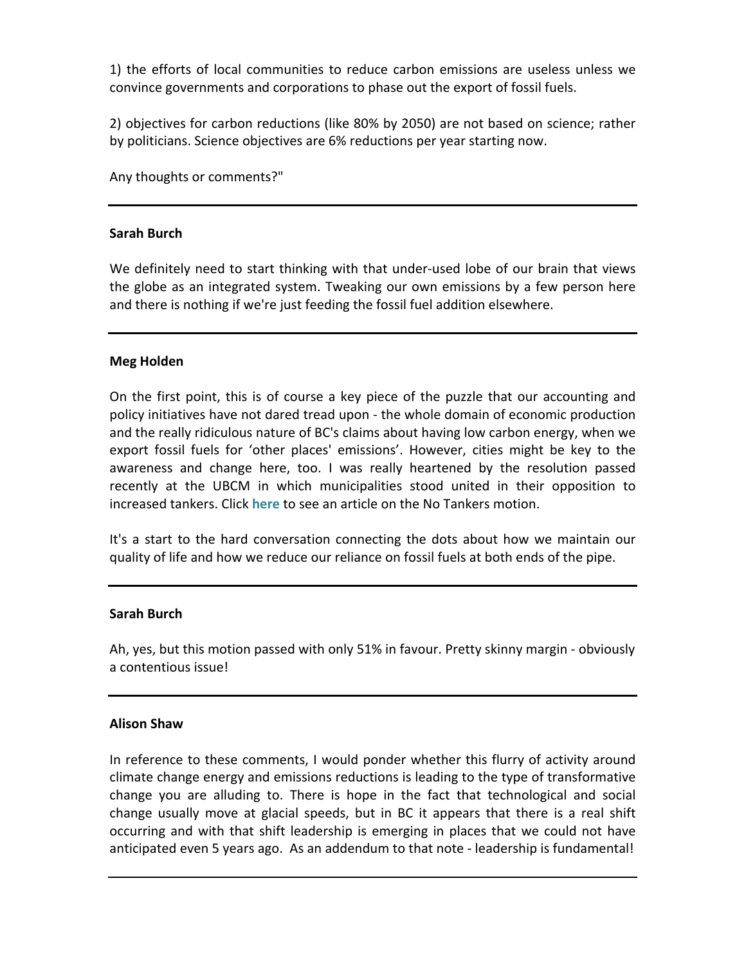1) the efforts of local communities to reduce carbon emissions are useless unless we convince governments and corporations to phase out the export of fossil fuels.

2) objectives for carbon reductions (like 80% by 2050) are not based on science; rather by politicians. Science objectives are 6% reductions per year starting now.

Any thoughts or comments?"

# **Sarah Burch**

We definitely need to start thinking with that under-used lobe of our brain that views the globe as an integrated system. Tweaking our own emissions by a few person here and there is nothing if we're just feeding the fossil fuel addition elsewhere.

# **Meg Holden**

On the first point, this is of course a key piece of the puzzle that our accounting and policy initiatives have not dared tread upon - the whole domain of economic production and the really ridiculous nature of BC's claims about having low carbon energy, when we export fossil fuels for 'other places' emissions'. However, cities might be key to the awareness and change here, too. I was really heartened by the resolution passed recently at the UBCM in which municipalities stood united in their opposition to increased tankers. Click [here](http://rabble.ca/blogs/bloggers/dogwood-initiative/2012/09/no-tankers-motion-passed-bc-local-governments) to see an article on the No Tankers motion.

It's a start to the hard conversation connecting the dots about how we maintain our quality of life and how we reduce our reliance on fossil fuels at both ends of the pipe.

# **Sarah Burch**

Ah, yes, but this motion passed with only 51% in favour. Pretty skinny margin - obviously a contentious issue!

# **Alison Shaw**

In reference to these comments, I would ponder whether this flurry of activity around climate change energy and emissions reductions is leading to the type of transformative change you are alluding to. There is hope in the fact that technological and social change usually move at glacial speeds, but in BC it appears that there is a real shift occurring and with that shift leadership is emerging in places that we could not have anticipated even 5 years ago. As an addendum to that note - leadership is fundamental!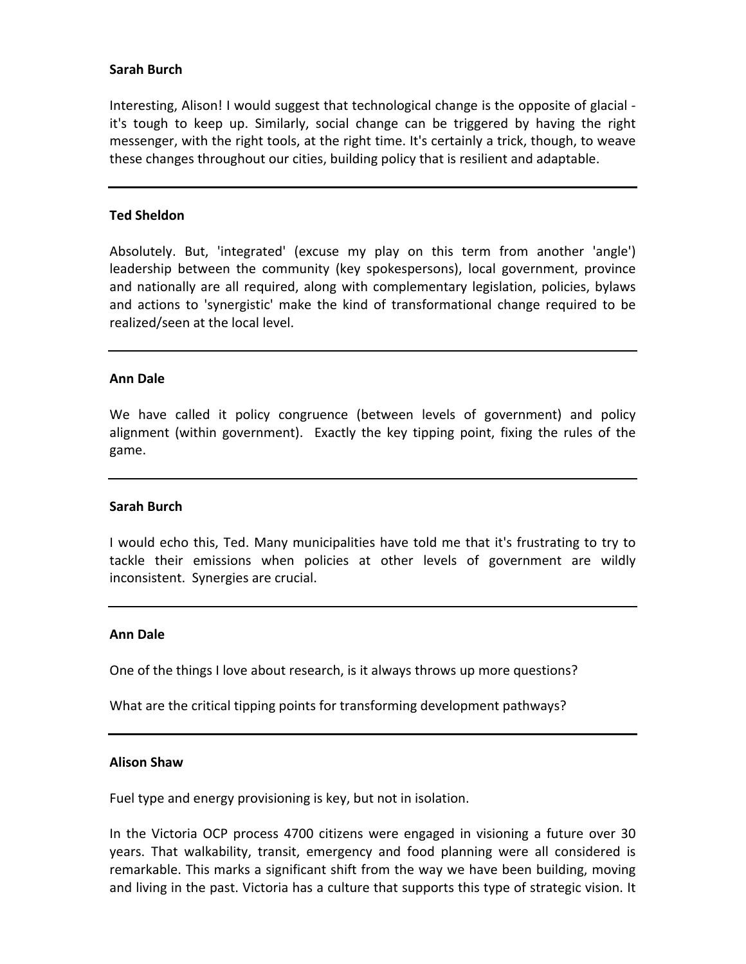# **Sarah Burch**

Interesting, Alison! I would suggest that technological change is the opposite of glacial it's tough to keep up. Similarly, social change can be triggered by having the right messenger, with the right tools, at the right time. It's certainly a trick, though, to weave these changes throughout our cities, building policy that is resilient and adaptable.

## **Ted Sheldon**

Absolutely. But, 'integrated' (excuse my play on this term from another 'angle') leadership between the community (key spokespersons), local government, province and nationally are all required, along with complementary legislation, policies, bylaws and actions to 'synergistic' make the kind of transformational change required to be realized/seen at the local level.

#### **Ann Dale**

We have called it policy congruence (between levels of government) and policy alignment (within government). Exactly the key tipping point, fixing the rules of the game.

#### **Sarah Burch**

I would echo this, Ted. Many municipalities have told me that it's frustrating to try to tackle their emissions when policies at other levels of government are wildly inconsistent. Synergies are crucial.

#### **Ann Dale**

One of the things I love about research, is it always throws up more questions?

What are the critical tipping points for transforming development pathways?

#### **Alison Shaw**

Fuel type and energy provisioning is key, but not in isolation.

In the Victoria OCP process 4700 citizens were engaged in visioning a future over 30 years. That walkability, transit, emergency and food planning were all considered is remarkable. This marks a significant shift from the way we have been building, moving and living in the past. Victoria has a culture that supports this type of strategic vision. It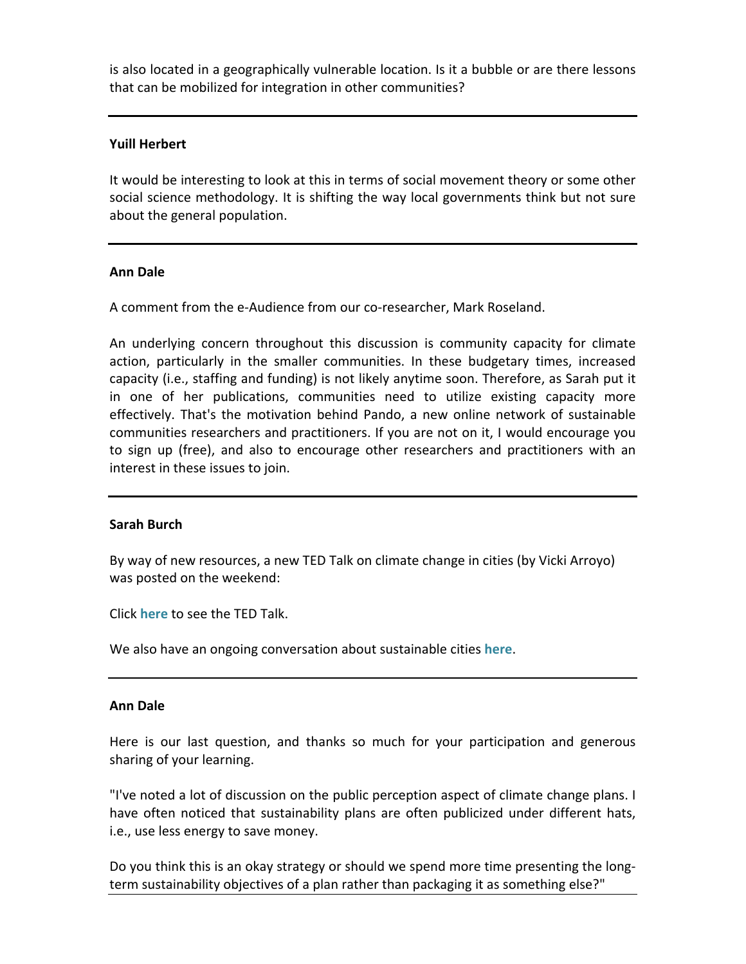is also located in a geographically vulnerable location. Is it a bubble or are there lessons that can be mobilized for integration in other communities?

# **Yuill Herbert**

It would be interesting to look at this in terms of social movement theory or some other social science methodology. It is shifting the way local governments think but not sure about the general population.

# **Ann Dale**

A comment from the e-Audience from our co-researcher, Mark Roseland.

An underlying concern throughout this discussion is community capacity for climate action, particularly in the smaller communities. In these budgetary times, increased capacity (i.e., staffing and funding) is not likely anytime soon. Therefore, as Sarah put it in one of her publications, communities need to utilize existing capacity more effectively. That's the motivation behind Pando, a new online network of sustainable communities researchers and practitioners. If you are not on it, I would encourage you to sign up (free), and also to encourage other researchers and practitioners with an interest in these issues to join.

# **Sarah Burch**

By way of new resources, a new TED Talk on climate change in cities (by Vicki Arroyo) was posted on the weekend:

Click **[here](http://www.ted.com/talks/lang/en/vicki_arroyo_let_s_prepare_for_our_new_climate.html)** to see the TED Talk.

We also have an ongoing conversation about sustainable cities [here](http://www.sustainablecitiescanada.ca).

# **Ann Dale**

Here is our last question, and thanks so much for your participation and generous sharing of your learning.

"I've noted a lot of discussion on the public perception aspect of climate change plans. I have often noticed that sustainability plans are often publicized under different hats, i.e., use less energy to save money.

Do you think this is an okay strategy or should we spend more time presenting the longterm sustainability objectives of a plan rather than packaging it as something else?"